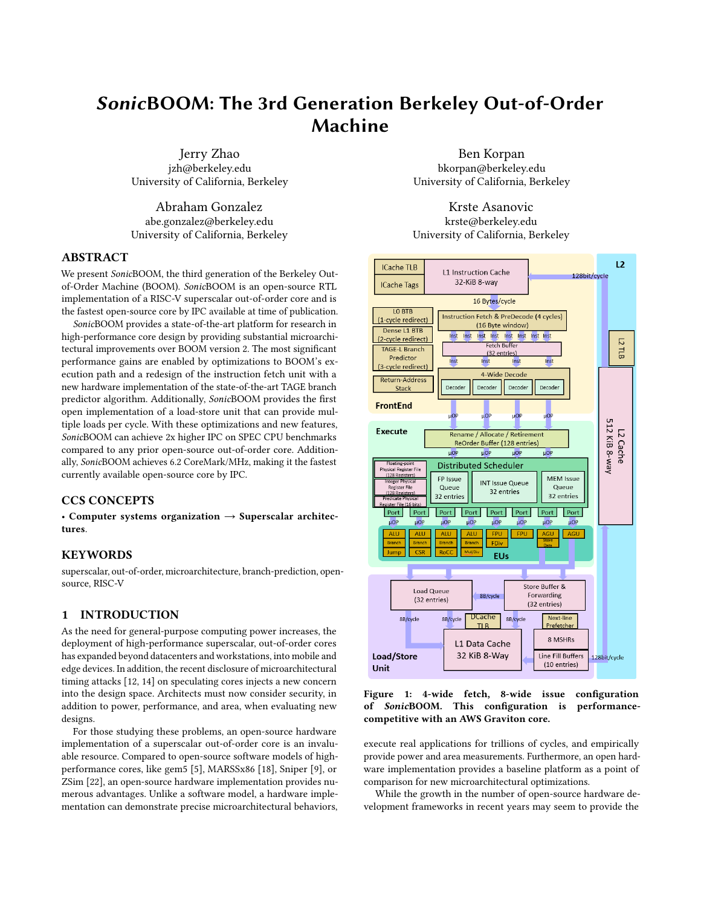# SonicBOOM: The 3rd Generation Berkeley Out-of-Order Machine

Jerry Zhao jzh@berkeley.edu University of California, Berkeley

Abraham Gonzalez abe.gonzalez@berkeley.edu University of California, Berkeley

#### ABSTRACT

We present SonicBOOM, the third generation of the Berkeley Outof-Order Machine (BOOM). SonicBOOM is an open-source RTL implementation of a RISC-V superscalar out-of-order core and is the fastest open-source core by IPC available at time of publication.

SonicBOOM provides a state-of-the-art platform for research in high-performance core design by providing substantial microarchitectural improvements over BOOM version 2. The most significant performance gains are enabled by optimizations to BOOM's execution path and a redesign of the instruction fetch unit with a new hardware implementation of the state-of-the-art TAGE branch predictor algorithm. Additionally, SonicBOOM provides the first open implementation of a load-store unit that can provide multiple loads per cycle. With these optimizations and new features, SonicBOOM can achieve 2x higher IPC on SPEC CPU benchmarks compared to any prior open-source out-of-order core. Additionally, SonicBOOM achieves 6.2 CoreMark/MHz, making it the fastest currently available open-source core by IPC.

# CCS CONCEPTS

• Computer systems organization  $\rightarrow$  Superscalar architectures.

### KEYWORDS

superscalar, out-of-order, microarchitecture, branch-prediction, opensource, RISC-V

## 1 INTRODUCTION

As the need for general-purpose computing power increases, the deployment of high-performance superscalar, out-of-order cores has expanded beyond datacenters and workstations, into mobile and edge devices. In addition, the recent disclosure of microarchitectural timing attacks [\[12,](#page-6-0) [14\]](#page-6-1) on speculating cores injects a new concern into the design space. Architects must now consider security, in addition to power, performance, and area, when evaluating new designs.

For those studying these problems, an open-source hardware implementation of a superscalar out-of-order core is an invaluable resource. Compared to open-source software models of highperformance cores, like gem5 [\[5\]](#page-6-2), MARSSx86 [\[18\]](#page-6-3), Sniper [\[9\]](#page-6-4), or ZSim [\[22\]](#page-6-5), an open-source hardware implementation provides numerous advantages. Unlike a software model, a hardware implementation can demonstrate precise microarchitectural behaviors,

Ben Korpan bkorpan@berkeley.edu University of California, Berkeley

Krste Asanovic krste@berkeley.edu University of California, Berkeley

<span id="page-0-0"></span>

Figure 1: 4-wide fetch, 8-wide issue configuration of SonicBOOM. This configuration is performancecompetitive with an AWS Graviton core.

execute real applications for trillions of cycles, and empirically provide power and area measurements. Furthermore, an open hardware implementation provides a baseline platform as a point of comparison for new microarchitectural optimizations.

While the growth in the number of open-source hardware development frameworks in recent years may seem to provide the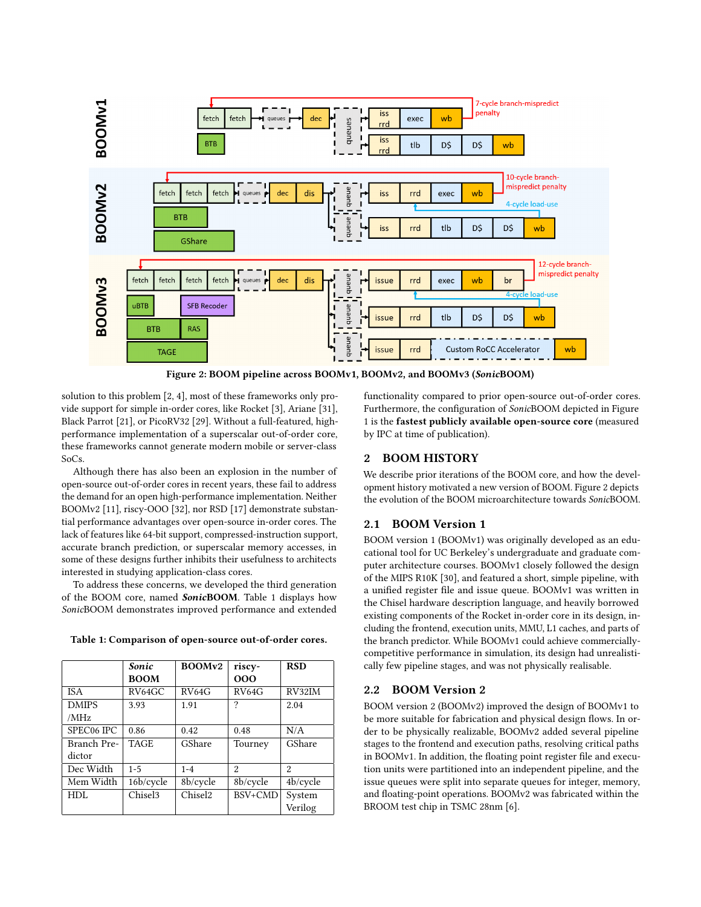<span id="page-1-1"></span>

Figure 2: BOOM pipeline across BOOMv1, BOOMv2, and BOOMv3 (SonicBOOM)

solution to this problem [\[2,](#page-6-6) [4\]](#page-6-7), most of these frameworks only provide support for simple in-order cores, like Rocket [\[3\]](#page-6-8), Ariane [\[31\]](#page-6-9), Black Parrot [\[21\]](#page-6-10), or PicoRV32 [\[29\]](#page-6-11). Without a full-featured, highperformance implementation of a superscalar out-of-order core, these frameworks cannot generate modern mobile or server-class SoCs.

Although there has also been an explosion in the number of open-source out-of-order cores in recent years, these fail to address the demand for an open high-performance implementation. Neither BOOMv2 [\[11\]](#page-6-12), riscy-OOO [\[32\]](#page-6-13), nor RSD [\[17\]](#page-6-14) demonstrate substantial performance advantages over open-source in-order cores. The lack of features like 64-bit support, compressed-instruction support, accurate branch prediction, or superscalar memory accesses, in some of these designs further inhibits their usefulness to architects interested in studying application-class cores.

To address these concerns, we developed the third generation of the BOOM core, named SonicBOOM. Table [1](#page-1-0) displays how SonicBOOM demonstrates improved performance and extended

|              | Sonic               | BOOMv2              | riscy-   | <b>RSD</b>     |
|--------------|---------------------|---------------------|----------|----------------|
|              | <b>BOOM</b>         |                     | 000      |                |
| <b>ISA</b>   | RV64GC              | RV64G               | RV64G    | RV32IM         |
| <b>DMIPS</b> | 3.93                | 1.91                | ?        | 2.04           |
| /MHz         |                     |                     |          |                |
| SPEC06 IPC   | 0.86                | 0.42                | 0.48     | N/A            |
| Branch Pre-  | <b>TAGE</b>         | GShare              | Tourney  | GShare         |
| dictor       |                     |                     |          |                |
| Dec Width    | $1 - 5$             | $1 - 4$             | 2        | $\mathfrak{D}$ |
| Mem Width    | 16b/cycle           | 8b/cycle            | 8b/cycle | 4b/cycle       |
| HDL          | Chisel <sub>3</sub> | Chisel <sub>2</sub> | BSV+CMD  | System         |
|              |                     |                     |          | Verilog        |

<span id="page-1-0"></span>

|  |  | Table 1: Comparison of open-source out-of-order cores. |
|--|--|--------------------------------------------------------|
|--|--|--------------------------------------------------------|

functionality compared to prior open-source out-of-order cores. Furthermore, the configuration of SonicBOOM depicted in Figure [1](#page-0-0) is the fastest publicly available open-source core (measured by IPC at time of publication).

## 2 BOOM HISTORY

We describe prior iterations of the BOOM core, and how the development history motivated a new version of BOOM. Figure [2](#page-1-1) depicts the evolution of the BOOM microarchitecture towards SonicBOOM.

## 2.1 BOOM Version 1

BOOM version 1 (BOOMv1) was originally developed as an educational tool for UC Berkeley's undergraduate and graduate computer architecture courses. BOOMv1 closely followed the design of the MIPS R10K [\[30\]](#page-6-15), and featured a short, simple pipeline, with a unified register file and issue queue. BOOMv1 was written in the Chisel hardware description language, and heavily borrowed existing components of the Rocket in-order core in its design, including the frontend, execution units, MMU, L1 caches, and parts of the branch predictor. While BOOMv1 could achieve commerciallycompetitive performance in simulation, its design had unrealistically few pipeline stages, and was not physically realisable.

#### 2.2 BOOM Version 2

BOOM version 2 (BOOMv2) improved the design of BOOMv1 to be more suitable for fabrication and physical design flows. In order to be physically realizable, BOOMv2 added several pipeline stages to the frontend and execution paths, resolving critical paths in BOOMv1. In addition, the floating point register file and execution units were partitioned into an independent pipeline, and the issue queues were split into separate queues for integer, memory, and floating-point operations. BOOMv2 was fabricated within the BROOM test chip in TSMC 28nm [\[6\]](#page-6-16).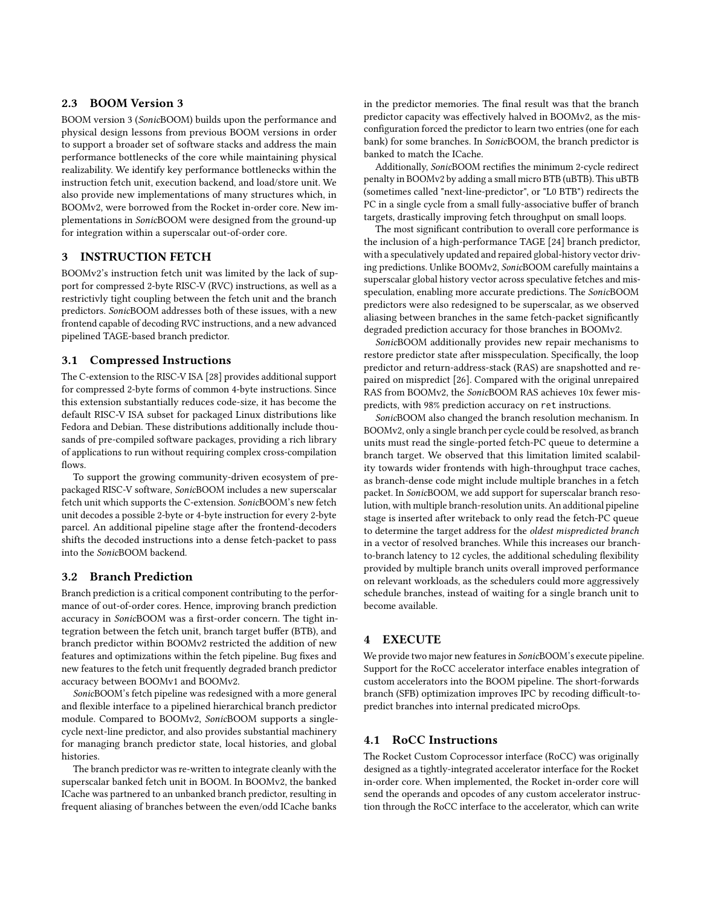## 2.3 BOOM Version 3

BOOM version 3 (SonicBOOM) builds upon the performance and physical design lessons from previous BOOM versions in order to support a broader set of software stacks and address the main performance bottlenecks of the core while maintaining physical realizability. We identify key performance bottlenecks within the instruction fetch unit, execution backend, and load/store unit. We also provide new implementations of many structures which, in BOOMv2, were borrowed from the Rocket in-order core. New implementations in SonicBOOM were designed from the ground-up for integration within a superscalar out-of-order core.

## 3 INSTRUCTION FETCH

BOOMv2's instruction fetch unit was limited by the lack of support for compressed 2-byte RISC-V (RVC) instructions, as well as a restrictivly tight coupling between the fetch unit and the branch predictors. SonicBOOM addresses both of these issues, with a new frontend capable of decoding RVC instructions, and a new advanced pipelined TAGE-based branch predictor.

#### 3.1 Compressed Instructions

The C-extension to the RISC-V ISA [\[28\]](#page-6-17) provides additional support for compressed 2-byte forms of common 4-byte instructions. Since this extension substantially reduces code-size, it has become the default RISC-V ISA subset for packaged Linux distributions like Fedora and Debian. These distributions additionally include thousands of pre-compiled software packages, providing a rich library of applications to run without requiring complex cross-compilation flows.

To support the growing community-driven ecosystem of prepackaged RISC-V software, SonicBOOM includes a new superscalar fetch unit which supports the C-extension. SonicBOOM's new fetch unit decodes a possible 2-byte or 4-byte instruction for every 2-byte parcel. An additional pipeline stage after the frontend-decoders shifts the decoded instructions into a dense fetch-packet to pass into the SonicBOOM backend.

#### 3.2 Branch Prediction

Branch prediction is a critical component contributing to the performance of out-of-order cores. Hence, improving branch prediction accuracy in SonicBOOM was a first-order concern. The tight integration between the fetch unit, branch target buffer (BTB), and branch predictor within BOOMv2 restricted the addition of new features and optimizations within the fetch pipeline. Bug fixes and new features to the fetch unit frequently degraded branch predictor accuracy between BOOMv1 and BOOMv2.

SonicBOOM's fetch pipeline was redesigned with a more general and flexible interface to a pipelined hierarchical branch predictor module. Compared to BOOMv2, SonicBOOM supports a singlecycle next-line predictor, and also provides substantial machinery for managing branch predictor state, local histories, and global histories.

The branch predictor was re-written to integrate cleanly with the superscalar banked fetch unit in BOOM. In BOOMv2, the banked ICache was partnered to an unbanked branch predictor, resulting in frequent aliasing of branches between the even/odd ICache banks in the predictor memories. The final result was that the branch predictor capacity was effectively halved in BOOMv2, as the misconfiguration forced the predictor to learn two entries (one for each bank) for some branches. In SonicBOOM, the branch predictor is banked to match the ICache.

Additionally, SonicBOOM rectifies the minimum 2-cycle redirect penalty in BOOMv2 by adding a small micro BTB (uBTB). This uBTB (sometimes called "next-line-predictor", or "L0 BTB") redirects the PC in a single cycle from a small fully-associative buffer of branch targets, drastically improving fetch throughput on small loops.

The most significant contribution to overall core performance is the inclusion of a high-performance TAGE [\[24\]](#page-6-18) branch predictor, with a speculatively updated and repaired global-history vector driving predictions. Unlike BOOMv2, SonicBOOM carefully maintains a superscalar global history vector across speculative fetches and misspeculation, enabling more accurate predictions. The SonicBOOM predictors were also redesigned to be superscalar, as we observed aliasing between branches in the same fetch-packet significantly degraded prediction accuracy for those branches in BOOMv2.

SonicBOOM additionally provides new repair mechanisms to restore predictor state after misspeculation. Specifically, the loop predictor and return-address-stack (RAS) are snapshotted and repaired on mispredict [\[26\]](#page-6-19). Compared with the original unrepaired RAS from BOOMv2, the SonicBOOM RAS achieves 10x fewer mispredicts, with 98% prediction accuracy on ret instructions.

SonicBOOM also changed the branch resolution mechanism. In BOOMv2, only a single branch per cycle could be resolved, as branch units must read the single-ported fetch-PC queue to determine a branch target. We observed that this limitation limited scalability towards wider frontends with high-throughput trace caches, as branch-dense code might include multiple branches in a fetch packet. In SonicBOOM, we add support for superscalar branch resolution, with multiple branch-resolution units. An additional pipeline stage is inserted after writeback to only read the fetch-PC queue to determine the target address for the oldest mispredicted branch in a vector of resolved branches. While this increases our branchto-branch latency to 12 cycles, the additional scheduling flexibility provided by multiple branch units overall improved performance on relevant workloads, as the schedulers could more aggressively schedule branches, instead of waiting for a single branch unit to become available.

### 4 EXECUTE

We provide two major new features in SonicBOOM's execute pipeline. Support for the RoCC accelerator interface enables integration of custom accelerators into the BOOM pipeline. The short-forwards branch (SFB) optimization improves IPC by recoding difficult-topredict branches into internal predicated microOps.

### 4.1 RoCC Instructions

The Rocket Custom Coprocessor interface (RoCC) was originally designed as a tightly-integrated accelerator interface for the Rocket in-order core. When implemented, the Rocket in-order core will send the operands and opcodes of any custom accelerator instruction through the RoCC interface to the accelerator, which can write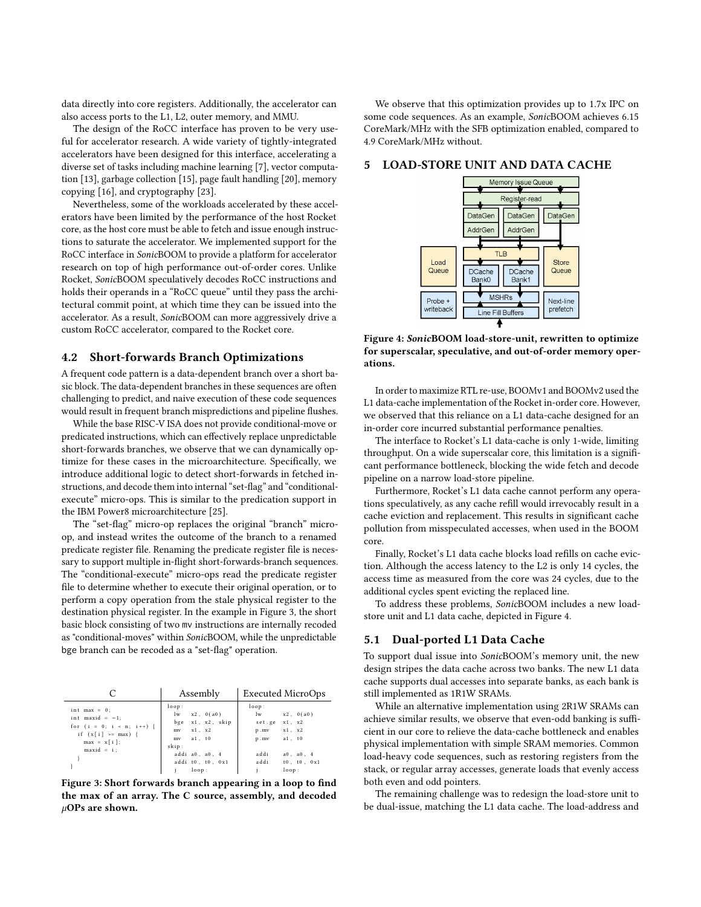data directly into core registers. Additionally, the accelerator can also access ports to the L1, L2, outer memory, and MMU.

The design of the RoCC interface has proven to be very useful for accelerator research. A wide variety of tightly-integrated accelerators have been designed for this interface, accelerating a diverse set of tasks including machine learning [\[7\]](#page-6-20), vector computation [\[13\]](#page-6-21), garbage collection [\[15\]](#page-6-22), page fault handling [\[20\]](#page-6-23), memory copying [\[16\]](#page-6-24), and cryptography [\[23\]](#page-6-25).

Nevertheless, some of the workloads accelerated by these accelerators have been limited by the performance of the host Rocket core, as the host core must be able to fetch and issue enough instructions to saturate the accelerator. We implemented support for the RoCC interface in SonicBOOM to provide a platform for accelerator research on top of high performance out-of-order cores. Unlike Rocket, SonicBOOM speculatively decodes RoCC instructions and holds their operands in a "RoCC queue" until they pass the architectural commit point, at which time they can be issued into the accelerator. As a result, SonicBOOM can more aggressively drive a custom RoCC accelerator, compared to the Rocket core.

## 4.2 Short-forwards Branch Optimizations

A frequent code pattern is a data-dependent branch over a short basic block. The data-dependent branches in these sequences are often challenging to predict, and naive execution of these code sequences would result in frequent branch mispredictions and pipeline flushes.

While the base RISC-V ISA does not provide conditional-move or predicated instructions, which can effectively replace unpredictable short-forwards branches, we observe that we can dynamically optimize for these cases in the microarchitecture. Specifically, we introduce additional logic to detect short-forwards in fetched instructions, and decode them into internal "set-flag" and "conditionalexecute" micro-ops. This is similar to the predication support in the IBM Power8 microarchitecture [\[25\]](#page-6-26).

The "set-flag" micro-op replaces the original "branch" microop, and instead writes the outcome of the branch to a renamed predicate register file. Renaming the predicate register file is necessary to support multiple in-flight short-forwards-branch sequences. The "conditional-execute" micro-ops read the predicate register file to determine whether to execute their original operation, or to perform a copy operation from the stale physical register to the destination physical register. In the example in Figure [3,](#page-3-0) the short basic block consisting of two mv instructions are internally recoded as "conditional-moves" within SonicBOOM, while the unpredictable bge branch can be recoded as a "set-flag" operation.

<span id="page-3-0"></span>

|                                                                                                                             | Assembly                                                                                                                                   | <b>Executed MicroOps</b>                                                                                                                         |  |
|-----------------------------------------------------------------------------------------------------------------------------|--------------------------------------------------------------------------------------------------------------------------------------------|--------------------------------------------------------------------------------------------------------------------------------------------------|--|
| $int$ max = 0;<br>int maxid = $-1$ ;<br>for $(i = 0; i < n; i++)$<br>if $(x[i] == max)$ {<br>$max = x[i];$<br>$maxid = i$ ; | loop:<br>$1w$ $x2$ , $0(a0)$<br>bge x1, x2, skip<br>$x1$ , $x2$<br>mv<br>mv a1, t0<br>skip:<br>addi a0, a0, 4<br>addi t0, t0, 0x1<br>loop: | loop:<br>lw<br>x2, 0(a0)<br>x1, x2<br>set.ge<br>x1, x2<br>p.mv<br>p.mv a1, t0<br>addi<br>$a0$ , $a0$ , 4<br>addi<br>$t0$ , $t0$ , $0x1$<br>loop: |  |

Figure 3: Short forwards branch appearing in a loop to find the max of an array. The C source, assembly, and decoded  $\mu$ OPs are shown.

We observe that this optimization provides up to 1.7x IPC on some code sequences. As an example, SonicBOOM achieves 6.15 CoreMark/MHz with the SFB optimization enabled, compared to 4.9 CoreMark/MHz without.

#### <span id="page-3-1"></span>5 LOAD-STORE UNIT AND DATA CACHE



Figure 4: SonicBOOM load-store-unit, rewritten to optimize for superscalar, speculative, and out-of-order memory operations.

In order to maximize RTL re-use, BOOMv1 and BOOMv2 used the L1 data-cache implementation of the Rocket in-order core. However, we observed that this reliance on a L1 data-cache designed for an in-order core incurred substantial performance penalties.

The interface to Rocket's L1 data-cache is only 1-wide, limiting throughput. On a wide superscalar core, this limitation is a significant performance bottleneck, blocking the wide fetch and decode pipeline on a narrow load-store pipeline.

Furthermore, Rocket's L1 data cache cannot perform any operations speculatively, as any cache refill would irrevocably result in a cache eviction and replacement. This results in significant cache pollution from misspeculated accesses, when used in the BOOM core.

Finally, Rocket's L1 data cache blocks load refills on cache eviction. Although the access latency to the L2 is only 14 cycles, the access time as measured from the core was 24 cycles, due to the additional cycles spent evicting the replaced line.

To address these problems, SonicBOOM includes a new loadstore unit and L1 data cache, depicted in Figure [4.](#page-3-1)

### 5.1 Dual-ported L1 Data Cache

To support dual issue into SonicBOOM's memory unit, the new design stripes the data cache across two banks. The new L1 data cache supports dual accesses into separate banks, as each bank is still implemented as 1R1W SRAMs.

While an alternative implementation using 2R1W SRAMs can achieve similar results, we observe that even-odd banking is sufficient in our core to relieve the data-cache bottleneck and enables physical implementation with simple SRAM memories. Common load-heavy code sequences, such as restoring registers from the stack, or regular array accesses, generate loads that evenly access both even and odd pointers.

The remaining challenge was to redesign the load-store unit to be dual-issue, matching the L1 data cache. The load-address and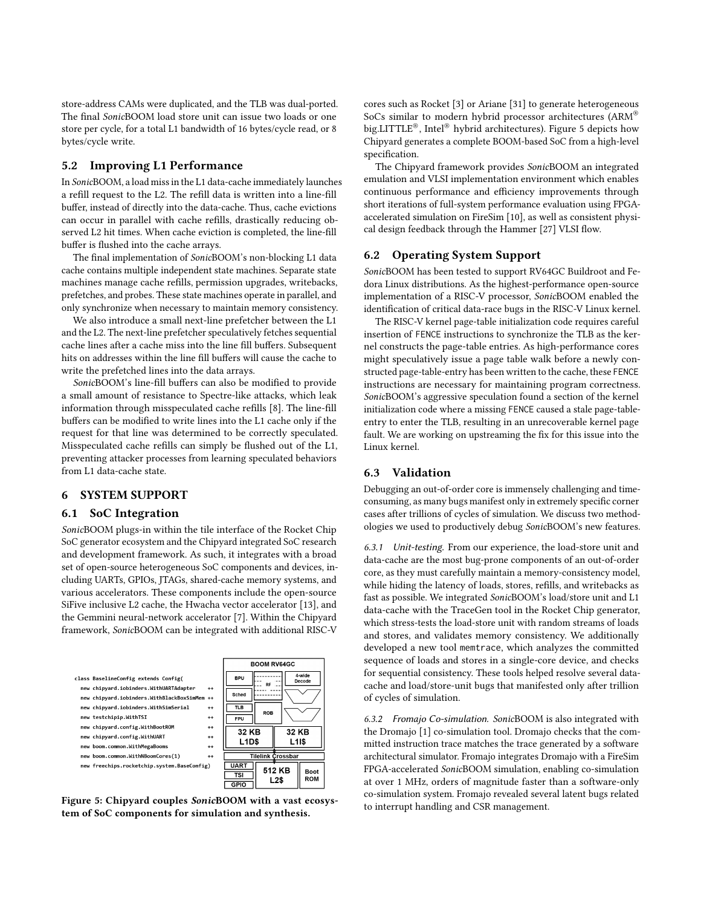store-address CAMs were duplicated, and the TLB was dual-ported. The final SonicBOOM load store unit can issue two loads or one store per cycle, for a total L1 bandwidth of 16 bytes/cycle read, or 8 bytes/cycle write.

#### 5.2 Improving L1 Performance

In SonicBOOM, a load miss in the L1 data-cache immediately launches a refill request to the L2. The refill data is written into a line-fill buffer, instead of directly into the data-cache. Thus, cache evictions can occur in parallel with cache refills, drastically reducing observed L2 hit times. When cache eviction is completed, the line-fill buffer is flushed into the cache arrays.

The final implementation of SonicBOOM's non-blocking L1 data cache contains multiple independent state machines. Separate state machines manage cache refills, permission upgrades, writebacks, prefetches, and probes. These state machines operate in parallel, and only synchronize when necessary to maintain memory consistency.

We also introduce a small next-line prefetcher between the L1 and the L2. The next-line prefetcher speculatively fetches sequential cache lines after a cache miss into the line fill buffers. Subsequent hits on addresses within the line fill buffers will cause the cache to write the prefetched lines into the data arrays.

SonicBOOM's line-fill buffers can also be modified to provide a small amount of resistance to Spectre-like attacks, which leak information through misspeculated cache refills [\[8\]](#page-6-27). The line-fill buffers can be modified to write lines into the L1 cache only if the request for that line was determined to be correctly speculated. Misspeculated cache refills can simply be flushed out of the L1, preventing attacker processes from learning speculated behaviors from L1 data-cache state.

## 6 SYSTEM SUPPORT

#### 6.1 SoC Integration

SonicBOOM plugs-in within the tile interface of the Rocket Chip SoC generator ecosystem and the Chipyard integrated SoC research and development framework. As such, it integrates with a broad set of open-source heterogeneous SoC components and devices, including UARTs, GPIOs, JTAGs, shared-cache memory systems, and various accelerators. These components include the open-source SiFive inclusive L2 cache, the Hwacha vector accelerator [\[13\]](#page-6-21), and the Gemmini neural-network accelerator [\[7\]](#page-6-20). Within the Chipyard framework, SonicBOOM can be integrated with additional RISC-V

<span id="page-4-0"></span>

Figure 5: Chipyard couples SonicBOOM with a vast ecosystem of SoC components for simulation and synthesis.

cores such as Rocket [\[3\]](#page-6-8) or Ariane [\[31\]](#page-6-9) to generate heterogeneous SoCs similar to modern hybrid processor architectures (ARM® big.LITTLE®, Intel® hybrid architectures). Figure [5](#page-4-0) depicts how Chipyard generates a complete BOOM-based SoC from a high-level specification.

The Chipyard framework provides SonicBOOM an integrated emulation and VLSI implementation environment which enables continuous performance and efficiency improvements through short iterations of full-system performance evaluation using FPGAaccelerated simulation on FireSim [\[10\]](#page-6-28), as well as consistent physical design feedback through the Hammer [\[27\]](#page-6-29) VLSI flow.

#### 6.2 Operating System Support

SonicBOOM has been tested to support RV64GC Buildroot and Fedora Linux distributions. As the highest-performance open-source implementation of a RISC-V processor, SonicBOOM enabled the identification of critical data-race bugs in the RISC-V Linux kernel.

The RISC-V kernel page-table initialization code requires careful insertion of FENCE instructions to synchronize the TLB as the kernel constructs the page-table entries. As high-performance cores might speculatively issue a page table walk before a newly constructed page-table-entry has been written to the cache, these FENCE instructions are necessary for maintaining program correctness. SonicBOOM's aggressive speculation found a section of the kernel initialization code where a missing FENCE caused a stale page-tableentry to enter the TLB, resulting in an unrecoverable kernel page fault. We are working on upstreaming the fix for this issue into the Linux kernel.

## 6.3 Validation

Debugging an out-of-order core is immensely challenging and timeconsuming, as many bugs manifest only in extremely specific corner cases after trillions of cycles of simulation. We discuss two methodologies we used to productively debug SonicBOOM's new features.

6.3.1 Unit-testing. From our experience, the load-store unit and data-cache are the most bug-prone components of an out-of-order core, as they must carefully maintain a memory-consistency model, while hiding the latency of loads, stores, refills, and writebacks as fast as possible. We integrated SonicBOOM's load/store unit and L1 data-cache with the TraceGen tool in the Rocket Chip generator, which stress-tests the load-store unit with random streams of loads and stores, and validates memory consistency. We additionally developed a new tool memtrace, which analyzes the committed sequence of loads and stores in a single-core device, and checks for sequential consistency. These tools helped resolve several datacache and load/store-unit bugs that manifested only after trillion of cycles of simulation.

6.3.2 Fromajo Co-simulation. SonicBOOM is also integrated with the Dromajo [\[1\]](#page-6-30) co-simulation tool. Dromajo checks that the committed instruction trace matches the trace generated by a software architectural simulator. Fromajo integrates Dromajo with a FireSim FPGA-accelerated SonicBOOM simulation, enabling co-simulation at over 1 MHz, orders of magnitude faster than a software-only co-simulation system. Fromajo revealed several latent bugs related to interrupt handling and CSR management.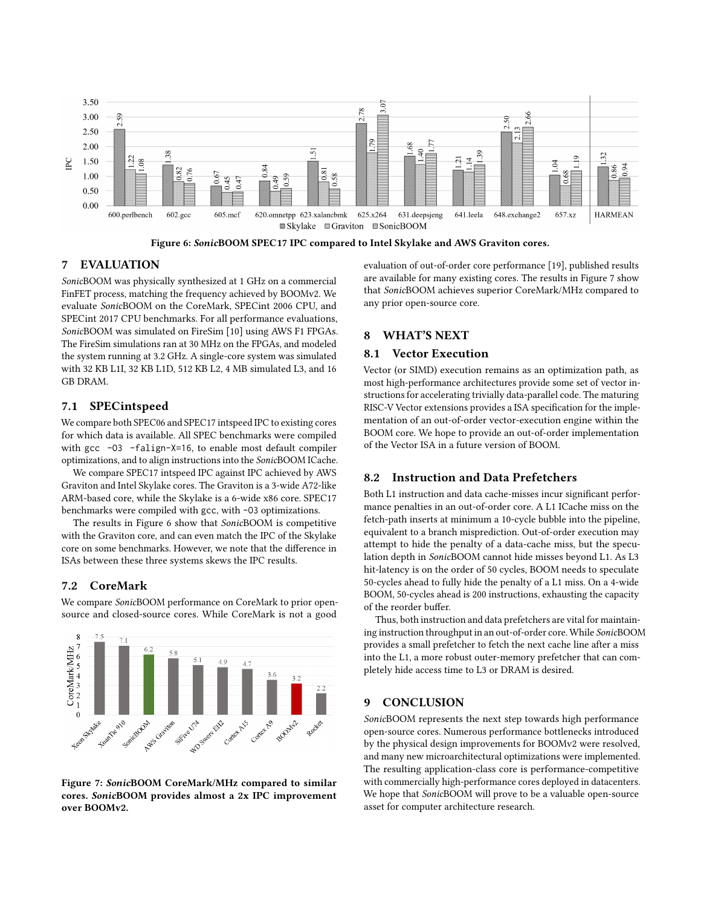<span id="page-5-0"></span>

Figure 6: SonicBOOM SPEC17 IPC compared to Intel Skylake and AWS Graviton cores.

# 7 EVALUATION

SonicBOOM was physically synthesized at 1 GHz on a commercial FinFET process, matching the frequency achieved by BOOMv2. We evaluate SonicBOOM on the CoreMark, SPECint 2006 CPU, and SPECint 2017 CPU benchmarks. For all performance evaluations, SonicBOOM was simulated on FireSim [\[10\]](#page-6-28) using AWS F1 FPGAs. The FireSim simulations ran at 30 MHz on the FPGAs, and modeled the system running at 3.2 GHz. A single-core system was simulated with 32 KB L1I, 32 KB L1D, 512 KB L2, 4 MB simulated L3, and 16 GB DRAM.

# 7.1 SPECintspeed

We compare both SPEC06 and SPEC17 intspeed IPC to existing cores for which data is available. All SPEC benchmarks were compiled with gcc -O3 -falign-X=16, to enable most default compiler optimizations, and to align instructions into the SonicBOOM ICache.

We compare SPEC17 intspeed IPC against IPC achieved by AWS Graviton and Intel Skylake cores. The Graviton is a 3-wide A72-like ARM-based core, while the Skylake is a 6-wide x86 core. SPEC17 benchmarks were compiled with gcc, with -O3 optimizations.

The results in Figure [6](#page-5-0) show that SonicBOOM is competitive with the Graviton core, and can even match the IPC of the Skylake core on some benchmarks. However, we note that the difference in ISAs between these three systems skews the IPC results.

# 7.2 CoreMark

We compare SonicBOOM performance on CoreMark to prior opensource and closed-source cores. While CoreMark is not a good

<span id="page-5-1"></span> $\,$  8  $\,$  $7<sup>5</sup>$  $\begin{array}{c}\n\text{OreMarkMHz} \\
\text{OreMarkMHz} \\
\text{O} \\
\text{O} \\
\text{O} \\
\text{O} \\
\text{O} \\
\text{O} \\
\text{O} \\
\text{O} \\
\text{O} \\
\text{O} \\
\text{O} \\
\text{O} \\
\text{O} \\
\text{O} \\
\text{O} \\
\text{O} \\
\text{O} \\
\text{O} \\
\text{O} \\
\text{O} \\
\text{O} \\
\text{O} \\
\text{O} \\
\text{O} \\
\text{O} \\
\text{O} \\
\text{O} \\
\text{O} \\
\text{O} \\
\text{O} \\
\text{O} \\
\text{O$ Formulation of Somico Ash WDS-swart City And Granton SETTLE LTA Contert Avis Context A BOOMER Rooker

Figure 7: SonicBOOM CoreMark/MHz compared to similar cores. SonicBOOM provides almost a 2x IPC improvement over BOOMv2.

evaluation of out-of-order core performance [\[19\]](#page-6-31), published results are available for many existing cores. The results in Figure [7](#page-5-1) show that SonicBOOM achieves superior CoreMark/MHz compared to any prior open-source core.

## 8 WHAT'S NEXT

#### 8.1 Vector Execution

Vector (or SIMD) execution remains as an optimization path, as most high-performance architectures provide some set of vector instructions for accelerating trivially data-parallel code. The maturing RISC-V Vector extensions provides a ISA specification for the implementation of an out-of-order vector-execution engine within the BOOM core. We hope to provide an out-of-order implementation of the Vector ISA in a future version of BOOM.

## 8.2 Instruction and Data Prefetchers

Both L1 instruction and data cache-misses incur significant performance penalties in an out-of-order core. A L1 ICache miss on the fetch-path inserts at minimum a 10-cycle bubble into the pipeline, equivalent to a branch misprediction. Out-of-order execution may attempt to hide the penalty of a data-cache miss, but the speculation depth in SonicBOOM cannot hide misses beyond L1. As L3 hit-latency is on the order of 50 cycles, BOOM needs to speculate 50-cycles ahead to fully hide the penalty of a L1 miss. On a 4-wide BOOM, 50-cycles ahead is 200 instructions, exhausting the capacity of the reorder buffer.

Thus, both instruction and data prefetchers are vital for maintaining instruction throughput in an out-of-order core. While SonicBOOM provides a small prefetcher to fetch the next cache line after a miss into the L1, a more robust outer-memory prefetcher that can completely hide access time to L3 or DRAM is desired.

# 9 CONCLUSION

SonicBOOM represents the next step towards high performance open-source cores. Numerous performance bottlenecks introduced by the physical design improvements for BOOMv2 were resolved, and many new microarchitectural optimizations were implemented. The resulting application-class core is performance-competitive with commercially high-performance cores deployed in datacenters. We hope that SonicBOOM will prove to be a valuable open-source asset for computer architecture research.